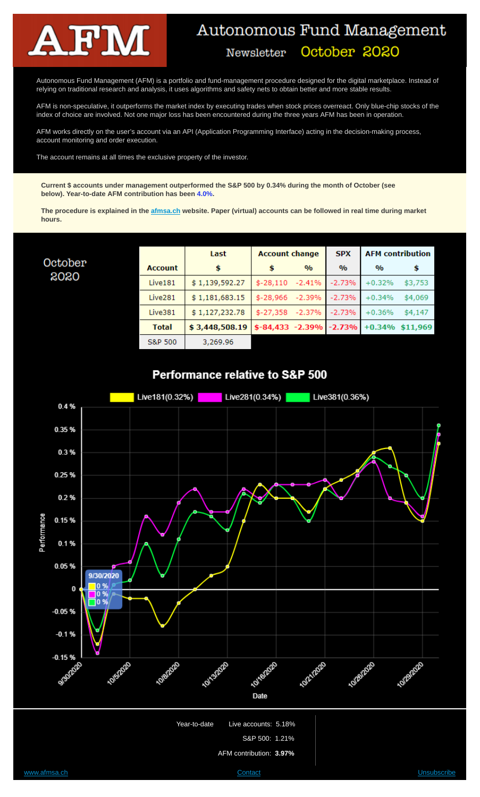

October 2020

# Autonomous Fund Management

October 2020

Newsletter

Autonomous Fund Management (AFM) is a portfolio and fund-management procedure designed for the digital marketplace. Instead of relying on traditional research and analysis, it uses algorithms and safety nets to obtain better and more stable results.

AFM is non-speculative, it outperforms the market index by executing trades when stock prices overreact. Only blue-chip stocks of the index of choice are involved. Not one major loss has been encountered during the three years AFM has been in operation.

AFM works directly on the user's account via an API (Application Programming Interface) acting in the decision-making process, account monitoring and order execution.

The account remains at all times the exclusive property of the investor.

**Current \$ accounts under management outperformed the S&P 500 by 0.34% during the month of October (see below). Year-to-date AFM contribution has been 4.0%.**

**The procedure is explained in the afmsa.ch website. Paper (virtual) accounts can be followed in real time during market hours.**

|                     | Last           | <b>Account change</b> |               | <b>SPX</b>    | <b>AFM</b> contribution |          |
|---------------------|----------------|-----------------------|---------------|---------------|-------------------------|----------|
| <b>Account</b>      | \$             |                       | $\frac{0}{0}$ | $\frac{0}{0}$ | $\frac{0}{0}$           | \$       |
| Live181             | \$1,139,592.27 | $$-28,110$            | $-2.41%$      | $-2.73%$      | $+0.32%$                | \$3,753  |
| Live <sub>281</sub> | \$1,181,683.15 | $$-28,966$            | $-2.39%$      | $-2.73%$      | $+0.34%$                | \$4,069  |
| Live381             | \$1,127,232.78 | $$-27,358$            | $-2.37%$      | $-2.73%$      | $+0.36%$                | \$4,147  |
| <b>Total</b>        | \$3,448,508.19 | $$-84,433$ $-2.39\%$  |               | $-2.73%$      | $+0.34%$                | \$11.969 |
| <b>S&amp;P 500</b>  | 3,269.96       |                       |               |               |                         |          |





Year-to-date Live accounts: 5.18%

S&P 500: 1.21%

AFM contribution: **3.97%**